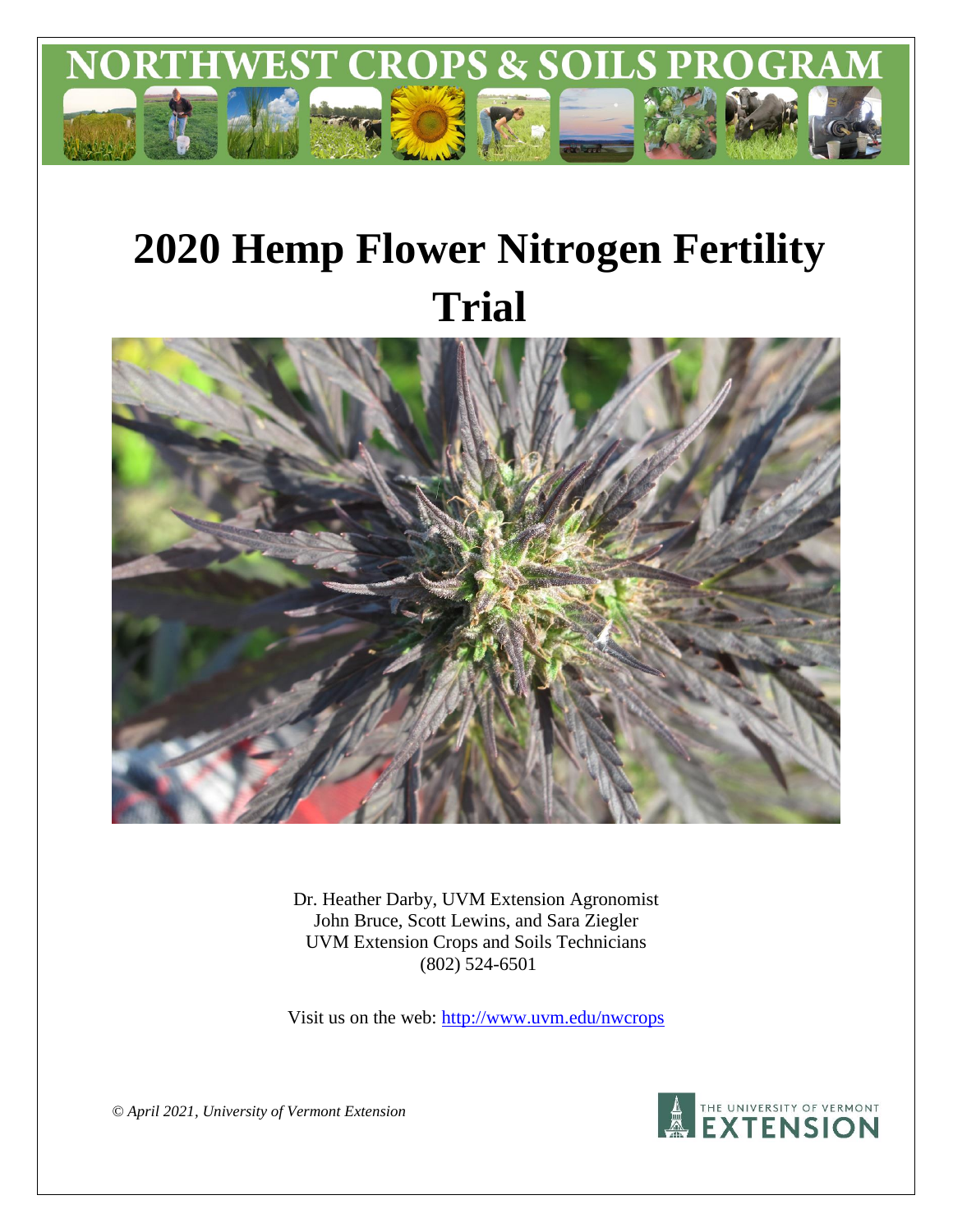

# **2020 Hemp Flower Nitrogen Fertility Trial**



Dr. Heather Darby, UVM Extension Agronomist John Bruce, Scott Lewins, and Sara Ziegler UVM Extension Crops and Soils Technicians (802) 524-6501

Visit us on the web:<http://www.uvm.edu/nwcrops>

A THE UNIVERSITY OF VERMONT

*© April 2021, University of Vermont Extension*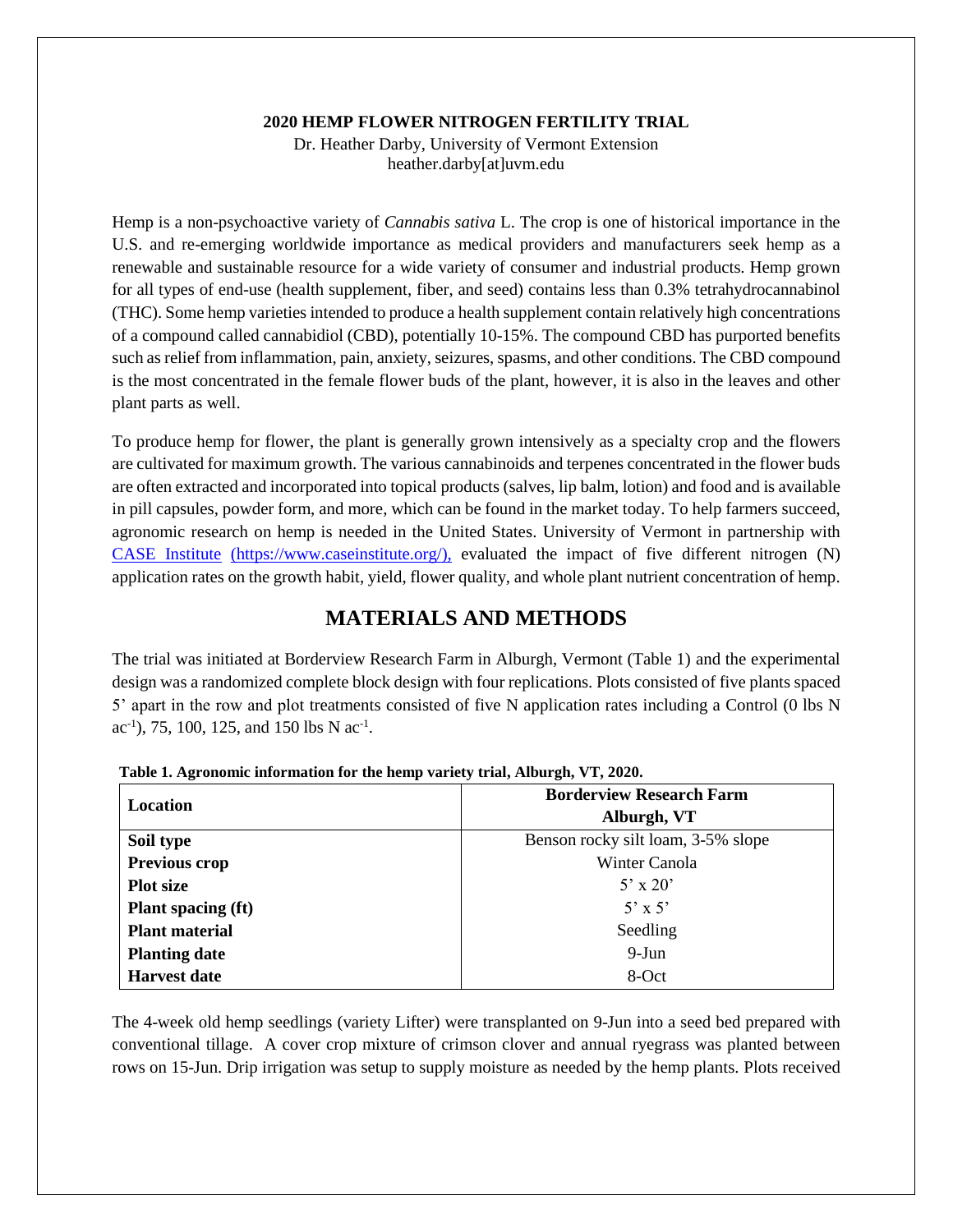#### **2020 HEMP FLOWER NITROGEN FERTILITY TRIAL**

Dr. Heather Darby, University of Vermont Extension heather.darby[at]uvm.edu

Hemp is a non-psychoactive variety of *Cannabis sativa* L. The crop is one of historical importance in the U.S. and re-emerging worldwide importance as medical providers and manufacturers seek hemp as a renewable and sustainable resource for a wide variety of consumer and industrial products. Hemp grown for all types of end-use (health supplement, fiber, and seed) contains less than 0.3% tetrahydrocannabinol (THC). Some hemp varieties intended to produce a health supplement contain relatively high concentrations of a compound called cannabidiol (CBD), potentially 10-15%. The compound CBD has purported benefits such as relief from inflammation, pain, anxiety, seizures, spasms, and other conditions. The CBD compound is the most concentrated in the female flower buds of the plant, however, it is also in the leaves and other plant parts as well.

To produce hemp for flower, the plant is generally grown intensively as a specialty crop and the flowers are cultivated for maximum growth. The various cannabinoids and terpenes concentrated in the flower buds are often extracted and incorporated into topical products (salves, lip balm, lotion) and food and is available in pill capsules, powder form, and more, which can be found in the market today. To help farmers succeed, agronomic research on hemp is needed in the United States. University of Vermont in partnership with [CASE Institute](https://www.caseinstitute.org/) (https://www.caseinstitute.org/), evaluated the impact of five different nitrogen (N) application rates on the growth habit, yield, flower quality, and whole plant nutrient concentration of hemp.

# **MATERIALS AND METHODS**

The trial was initiated at Borderview Research Farm in Alburgh, Vermont (Table 1) and the experimental design was a randomized complete block design with four replications. Plots consisted of five plants spaced 5' apart in the row and plot treatments consisted of five N application rates including a Control (0 lbs N ac<sup>-1</sup>), 75, 100, 125, and 150 lbs N ac<sup>-1</sup>.

|                           | <b>Borderview Research Farm</b>    |
|---------------------------|------------------------------------|
| Location                  | Alburgh, VT                        |
| Soil type                 | Benson rocky silt loam, 3-5% slope |
| <b>Previous crop</b>      | Winter Canola                      |
| <b>Plot size</b>          | $5' \times 20'$                    |
| <b>Plant spacing (ft)</b> | $5' \times 5'$                     |
| <b>Plant material</b>     | Seedling                           |
| <b>Planting date</b>      | $9-Jun$                            |
| <b>Harvest date</b>       | 8-Oct                              |

**Table 1. Agronomic information for the hemp variety trial, Alburgh, VT, 2020.**

The 4-week old hemp seedlings (variety Lifter) were transplanted on 9-Jun into a seed bed prepared with conventional tillage. A cover crop mixture of crimson clover and annual ryegrass was planted between rows on 15-Jun. Drip irrigation was setup to supply moisture as needed by the hemp plants. Plots received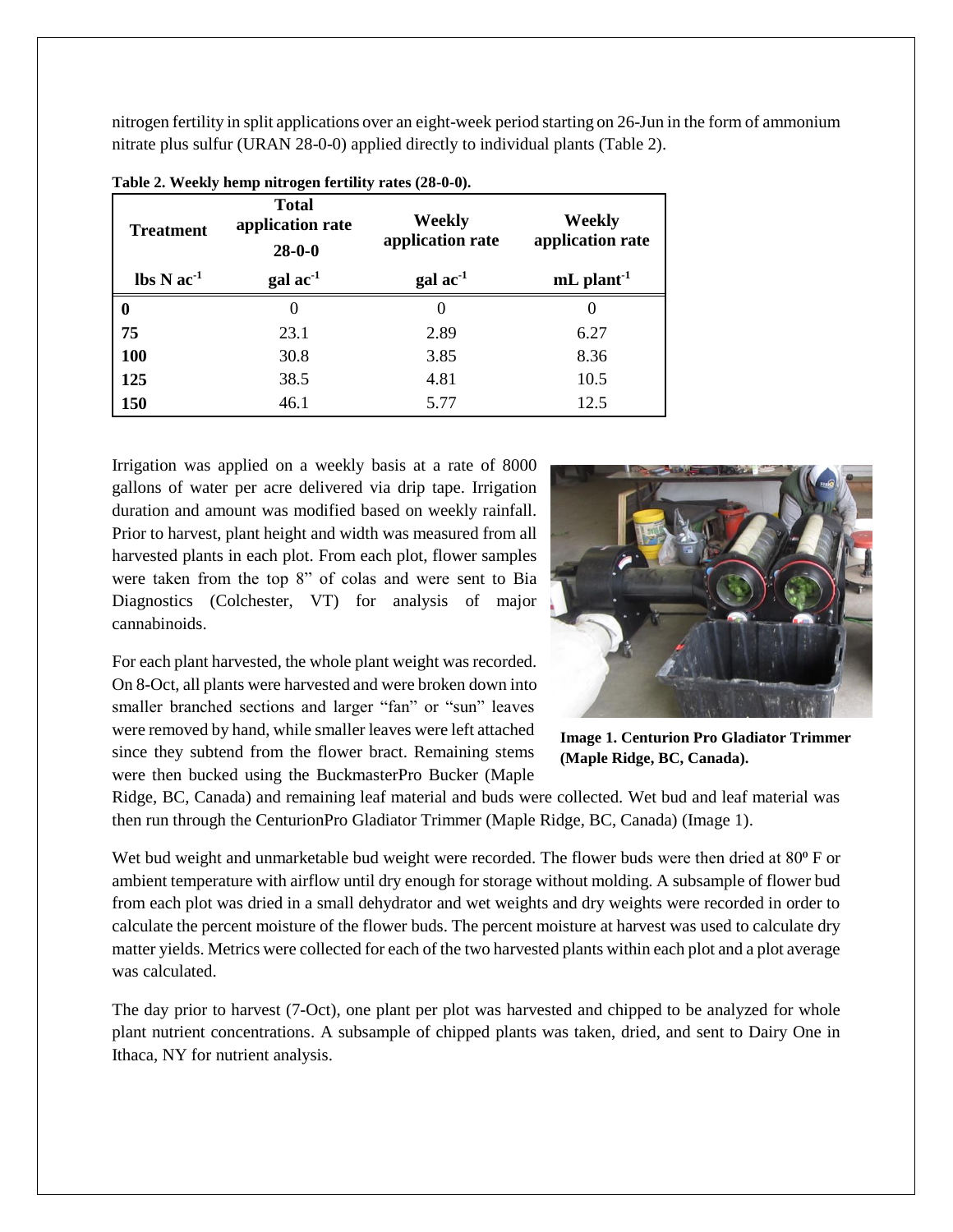nitrogen fertility in split applications over an eight-week period starting on 26-Jun in the form of ammonium nitrate plus sulfur (URAN 28-0-0) applied directly to individual plants (Table 2).

| <b>Treatment</b>                           | <b>Total</b><br>application rate<br>$28 - 0 - 0$ | Weekly<br>application rate    | Weekly<br>application rate |
|--------------------------------------------|--------------------------------------------------|-------------------------------|----------------------------|
| $\mathbf{lbs} \mathbf{N} \mathbf{ac}^{-1}$ | $\text{gal} \text{ ac}^{-1}$                     | $\gamma$ gal ac <sup>-1</sup> | $mL$ plant <sup>-1</sup>   |
| 0                                          | $\theta$                                         | $\Omega$                      | $\theta$                   |
| 75                                         | 23.1                                             | 2.89                          | 6.27                       |
| <b>100</b>                                 | 30.8                                             | 3.85                          | 8.36                       |
| 125                                        | 38.5                                             | 4.81                          | 10.5                       |
| 150                                        | 46.1                                             | 5.77                          | 12.5                       |

|  |  |  | Table 2. Weekly hemp nitrogen fertility rates (28-0-0). |  |  |  |
|--|--|--|---------------------------------------------------------|--|--|--|
|--|--|--|---------------------------------------------------------|--|--|--|

Irrigation was applied on a weekly basis at a rate of 8000 gallons of water per acre delivered via drip tape. Irrigation duration and amount was modified based on weekly rainfall. Prior to harvest, plant height and width was measured from all harvested plants in each plot. From each plot, flower samples were taken from the top 8" of colas and were sent to Bia Diagnostics (Colchester, VT) for analysis of major cannabinoids.

For each plant harvested, the whole plant weight was recorded. On 8-Oct, all plants were harvested and were broken down into smaller branched sections and larger "fan" or "sun" leaves were removed by hand, while smaller leaves were left attached since they subtend from the flower bract. Remaining stems were then bucked using the BuckmasterPro Bucker (Maple



**Image 1. Centurion Pro Gladiator Trimmer (Maple Ridge, BC, Canada).**

Ridge, BC, Canada) and remaining leaf material and buds were collected. Wet bud and leaf material was then run through the CenturionPro Gladiator Trimmer (Maple Ridge, BC, Canada) (Image 1).

Wet bud weight and unmarketable bud weight were recorded. The flower buds were then dried at 80<sup>°</sup> F or ambient temperature with airflow until dry enough for storage without molding. A subsample of flower bud from each plot was dried in a small dehydrator and wet weights and dry weights were recorded in order to calculate the percent moisture of the flower buds. The percent moisture at harvest was used to calculate dry matter yields. Metrics were collected for each of the two harvested plants within each plot and a plot average was calculated.

The day prior to harvest (7-Oct), one plant per plot was harvested and chipped to be analyzed for whole plant nutrient concentrations. A subsample of chipped plants was taken, dried, and sent to Dairy One in Ithaca, NY for nutrient analysis.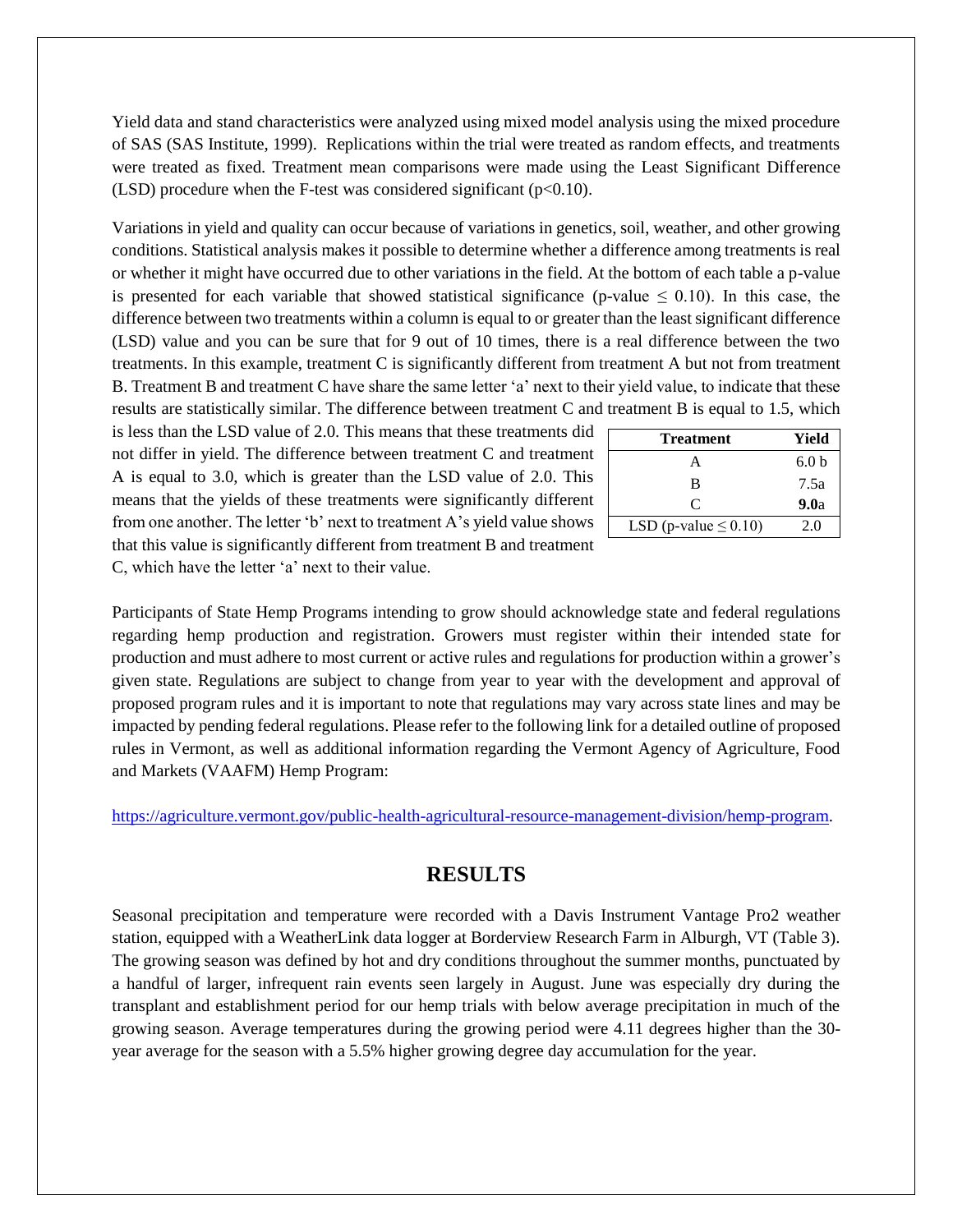Yield data and stand characteristics were analyzed using mixed model analysis using the mixed procedure of SAS (SAS Institute, 1999). Replications within the trial were treated as random effects, and treatments were treated as fixed. Treatment mean comparisons were made using the Least Significant Difference (LSD) procedure when the F-test was considered significant ( $p<0.10$ ).

Variations in yield and quality can occur because of variations in genetics, soil, weather, and other growing conditions. Statistical analysis makes it possible to determine whether a difference among treatments is real or whether it might have occurred due to other variations in the field. At the bottom of each table a p-value is presented for each variable that showed statistical significance (p-value  $\leq 0.10$ ). In this case, the difference between two treatments within a column is equal to or greater than the least significant difference (LSD) value and you can be sure that for 9 out of 10 times, there is a real difference between the two treatments. In this example, treatment C is significantly different from treatment A but not from treatment B. Treatment B and treatment C have share the same letter 'a' next to their yield value, to indicate that these results are statistically similar. The difference between treatment C and treatment B is equal to 1.5, which

is less than the LSD value of 2.0. This means that these treatments did not differ in yield. The difference between treatment C and treatment A is equal to 3.0, which is greater than the LSD value of 2.0. This means that the yields of these treatments were significantly different from one another. The letter 'b' next to treatment A's yield value shows that this value is significantly different from treatment B and treatment C, which have the letter 'a' next to their value.

| <b>Treatment</b>           | Yield            |
|----------------------------|------------------|
| A                          | 6.0 <sub>b</sub> |
| R                          | 7.5a             |
| C                          | 9.0a             |
| LSD (p-value $\leq 0.10$ ) | 2.0              |

Participants of State Hemp Programs intending to grow should acknowledge state and federal regulations regarding hemp production and registration. Growers must register within their intended state for production and must adhere to most current or active rules and regulations for production within a grower's given state. Regulations are subject to change from year to year with the development and approval of proposed program rules and it is important to note that regulations may vary across state lines and may be impacted by pending federal regulations. Please refer to the following link for a detailed outline of proposed rules in Vermont, as well as additional information regarding the Vermont Agency of Agriculture, Food and Markets (VAAFM) Hemp Program:

[https://agriculture.vermont.gov/public-health-agricultural-resource-management-division/hemp-program.](https://agriculture.vermont.gov/public-health-agricultural-resource-management-division/hemp-program)

## **RESULTS**

Seasonal precipitation and temperature were recorded with a Davis Instrument Vantage Pro2 weather station, equipped with a WeatherLink data logger at Borderview Research Farm in Alburgh, VT (Table 3). The growing season was defined by hot and dry conditions throughout the summer months, punctuated by a handful of larger, infrequent rain events seen largely in August. June was especially dry during the transplant and establishment period for our hemp trials with below average precipitation in much of the growing season. Average temperatures during the growing period were 4.11 degrees higher than the 30 year average for the season with a 5.5% higher growing degree day accumulation for the year.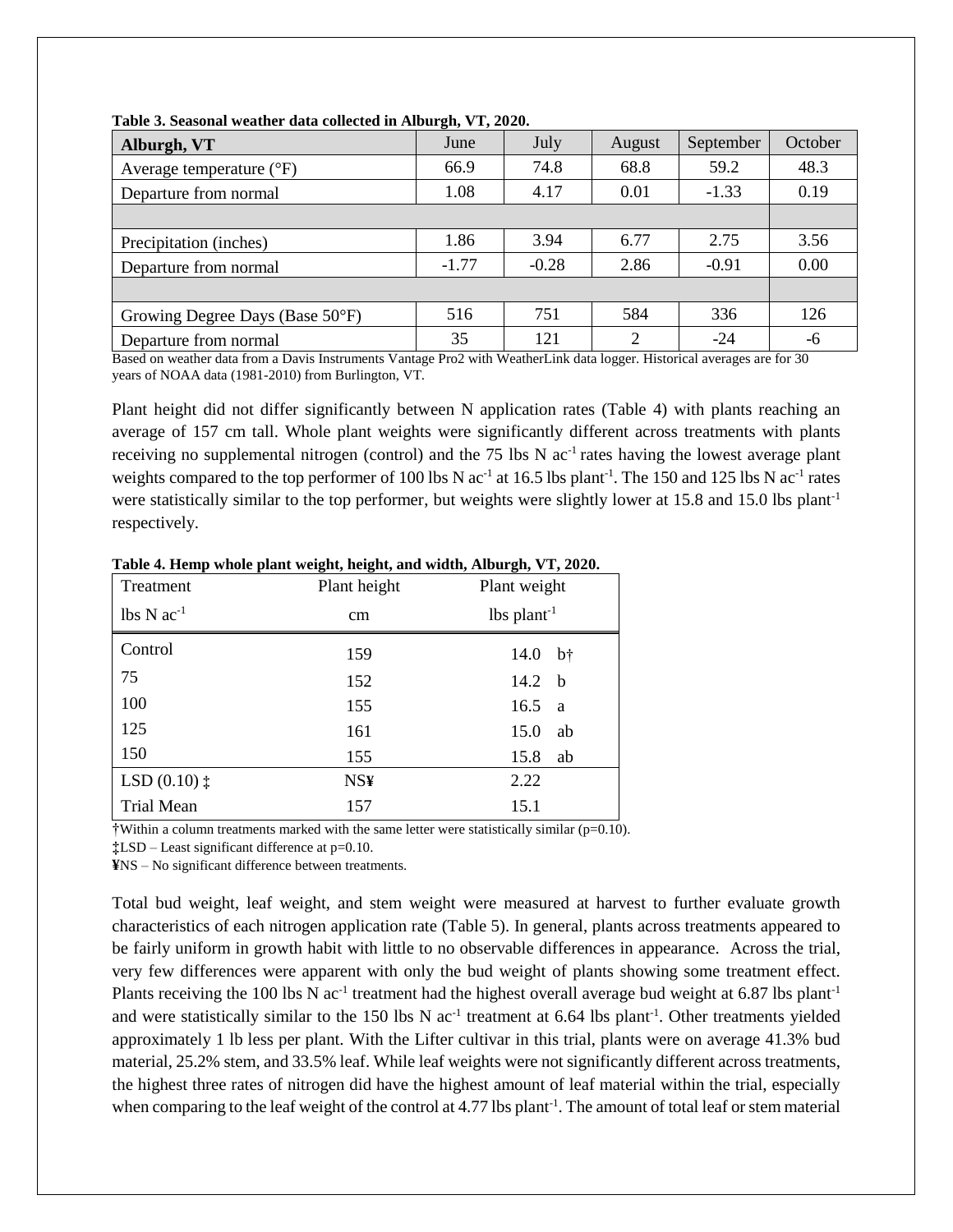| Alburgh, VT                         | June    | July    | August         | September | October |
|-------------------------------------|---------|---------|----------------|-----------|---------|
| Average temperature $({}^{\circ}F)$ | 66.9    | 74.8    | 68.8           | 59.2      | 48.3    |
| Departure from normal               | 1.08    | 4.17    | 0.01           | $-1.33$   | 0.19    |
|                                     |         |         |                |           |         |
| Precipitation (inches)              | 1.86    | 3.94    | 6.77           | 2.75      | 3.56    |
| Departure from normal               | $-1.77$ | $-0.28$ | 2.86           | $-0.91$   | 0.00    |
|                                     |         |         |                |           |         |
| Growing Degree Days (Base 50°F)     | 516     | 751     | 584            | 336       | 126     |
| Departure from normal               | 35      | 121     | $\overline{2}$ | $-24$     | $-6$    |

**Table 3. Seasonal weather data collected in Alburgh, VT, 2020.**

Based on weather data from a Davis Instruments Vantage Pro2 with WeatherLink data logger. Historical averages are for 30 years of NOAA data (1981-2010) from Burlington, VT.

Plant height did not differ significantly between N application rates (Table 4) with plants reaching an average of 157 cm tall. Whole plant weights were significantly different across treatments with plants receiving no supplemental nitrogen (control) and the 75 lbs  $N$  ac<sup>-1</sup> rates having the lowest average plant weights compared to the top performer of 100 lbs N  $ac^{-1}$  at 16.5 lbs plant<sup>-1</sup>. The 150 and 125 lbs N  $ac^{-1}$  rates were statistically similar to the top performer, but weights were slightly lower at 15.8 and 15.0 lbs plant<sup>-1</sup> respectively.

| Treatment                            | Plant height | Plant weight          |
|--------------------------------------|--------------|-----------------------|
| $\text{lbs} \text{N} \text{ac}^{-1}$ | cm           | $lbs plant-1$         |
| Control                              | 159          | $b^{\dagger}$<br>14.0 |
| 75                                   | 152          | 14.2 $b$              |
| 100                                  | 155          | 16.5<br><sub>a</sub>  |
| 125                                  | 161          | 15.0<br>ab            |
| 150                                  | 155          | 15.8<br>ab            |
| $LSD(0.10)$ $\ddagger$               | <b>NS¥</b>   | 2.22                  |
| <b>Trial Mean</b>                    | 157          | 15.1                  |

**Table 4. Hemp whole plant weight, height, and width, Alburgh, VT, 2020.**

 $\dagger$ Within a column treatments marked with the same letter were statistically similar ( $p=0.10$ ).

**‡**LSD – Least significant difference at p=0.10.

**¥**NS – No significant difference between treatments.

Total bud weight, leaf weight, and stem weight were measured at harvest to further evaluate growth characteristics of each nitrogen application rate (Table 5). In general, plants across treatments appeared to be fairly uniform in growth habit with little to no observable differences in appearance. Across the trial, very few differences were apparent with only the bud weight of plants showing some treatment effect. Plants receiving the 100 lbs N ac<sup>-1</sup> treatment had the highest overall average bud weight at 6.87 lbs plant<sup>-1</sup> and were statistically similar to the 150 lbs N  $ac<sup>-1</sup>$  treatment at 6.64 lbs plant<sup>-1</sup>. Other treatments yielded approximately 1 lb less per plant. With the Lifter cultivar in this trial, plants were on average 41.3% bud material, 25.2% stem, and 33.5% leaf. While leaf weights were not significantly different across treatments, the highest three rates of nitrogen did have the highest amount of leaf material within the trial, especially when comparing to the leaf weight of the control at 4.77 lbs plant<sup>-1</sup>. The amount of total leaf or stem material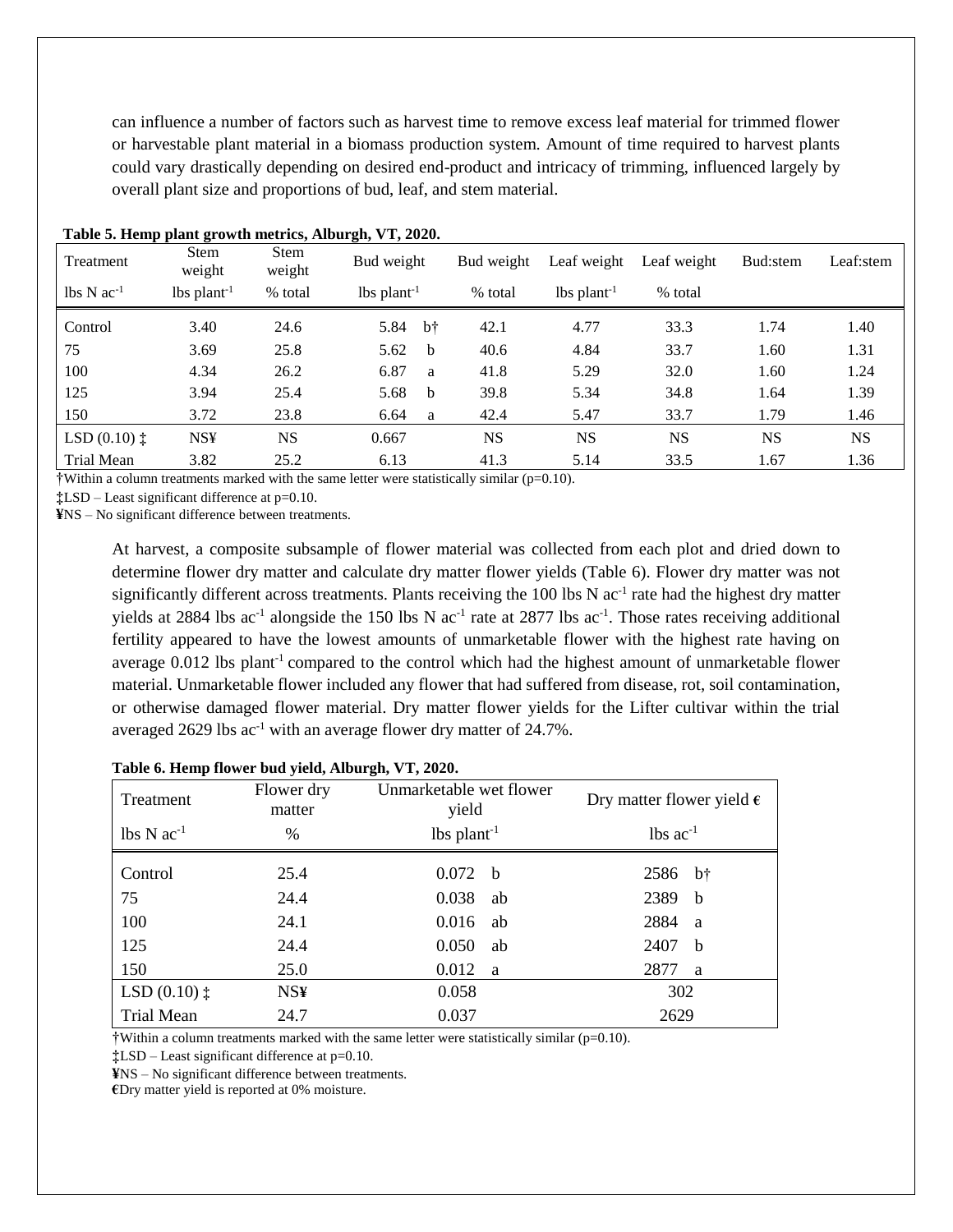can influence a number of factors such as harvest time to remove excess leaf material for trimmed flower or harvestable plant material in a biomass production system. Amount of time required to harvest plants could vary drastically depending on desired end-product and intricacy of trimming, influenced largely by overall plant size and proportions of bud, leaf, and stem material.

| Treatment                                  | <b>Stem</b><br>weight | <b>Stem</b><br>weight | Bud weight                | Bud weight | Leaf weight               | Leaf weight | Bud:stem  | Leaf:stem |
|--------------------------------------------|-----------------------|-----------------------|---------------------------|------------|---------------------------|-------------|-----------|-----------|
| $\text{lbs} \, \text{N} \, \text{ac}^{-1}$ | $lbs plant-1$         | % total               | $lbs$ plant <sup>-1</sup> | % total    | $lbs$ plant <sup>-1</sup> | % total     |           |           |
| Control                                    | 3.40                  | 24.6                  | $b\dagger$<br>5.84        | 42.1       | 4.77                      | 33.3        | 1.74      | 1.40      |
| 75                                         | 3.69                  | 25.8                  | 5.62<br><sub>b</sub>      | 40.6       | 4.84                      | 33.7        | 1.60      | 1.31      |
| 100                                        | 4.34                  | 26.2                  | 6.87<br>a                 | 41.8       | 5.29                      | 32.0        | 1.60      | 1.24      |
| 125                                        | 3.94                  | 25.4                  | 5.68<br><sub>b</sub>      | 39.8       | 5.34                      | 34.8        | 1.64      | 1.39      |
| 150                                        | 3.72                  | 23.8                  | 6.64<br>a                 | 42.4       | 5.47                      | 33.7        | 1.79      | 1.46      |
| LSD $(0.10)$ $\ddagger$                    | <b>NS¥</b>            | <b>NS</b>             | 0.667                     | <b>NS</b>  | <b>NS</b>                 | <b>NS</b>   | <b>NS</b> | <b>NS</b> |
| Trial Mean                                 | 3.82                  | 25.2                  | 6.13                      | 41.3       | 5.14                      | 33.5        | 1.67      | 1.36      |

#### **Table 5. Hemp plant growth metrics, Alburgh, VT, 2020.**

†Within a column treatments marked with the same letter were statistically similar (p=0.10).

**‡**LSD – Least significant difference at p=0.10.

**¥**NS – No significant difference between treatments.

At harvest, a composite subsample of flower material was collected from each plot and dried down to determine flower dry matter and calculate dry matter flower yields (Table 6). Flower dry matter was not significantly different across treatments. Plants receiving the  $100$  lbs N  $ac^{-1}$  rate had the highest dry matter yields at 2884 lbs  $ac^{-1}$  alongside the 150 lbs N  $ac^{-1}$  rate at 2877 lbs  $ac^{-1}$ . Those rates receiving additional fertility appeared to have the lowest amounts of unmarketable flower with the highest rate having on average 0.012 lbs plant-1 compared to the control which had the highest amount of unmarketable flower material. Unmarketable flower included any flower that had suffered from disease, rot, soil contamination, or otherwise damaged flower material. Dry matter flower yields for the Lifter cultivar within the trial averaged 2629 lbs ac<sup>-1</sup> with an average flower dry matter of 24.7%.

| Treatment               | Flower dry<br>matter | Unmarketable wet flower<br>yield | Dry matter flower yield $\epsilon$ |
|-------------------------|----------------------|----------------------------------|------------------------------------|
| $lbs\ Nac^{-1}$         | $\%$                 | lbs $plant^{-1}$                 | $lbs$ ac <sup>-1</sup>             |
| Control                 | 25.4                 | 0.072 b                          | 2586 b <sup>+</sup>                |
| 75                      | 24.4                 | $0.038$ ab                       | 2389 b                             |
| 100                     | 24.1                 | 0.016<br>ab                      | 2884<br>a                          |
| 125                     | 24.4                 | $0.050$ ab                       | 2407<br>h.                         |
| 150                     | 25.0                 | 0.012 a                          | 2877<br><sub>a</sub>               |
| LSD $(0.10)$ $\ddagger$ | <b>NS¥</b>           | 0.058                            | 302                                |
| Trial Mean              | 24.7                 | 0.037                            | 2629                               |

#### **Table 6. Hemp flower bud yield, Alburgh, VT, 2020.**

 $\dagger$ Within a column treatments marked with the same letter were statistically similar ( $p=0.10$ ).

**‡**LSD – Least significant difference at p=0.10.

**¥**NS – No significant difference between treatments.

**€**Dry matter yield is reported at 0% moisture.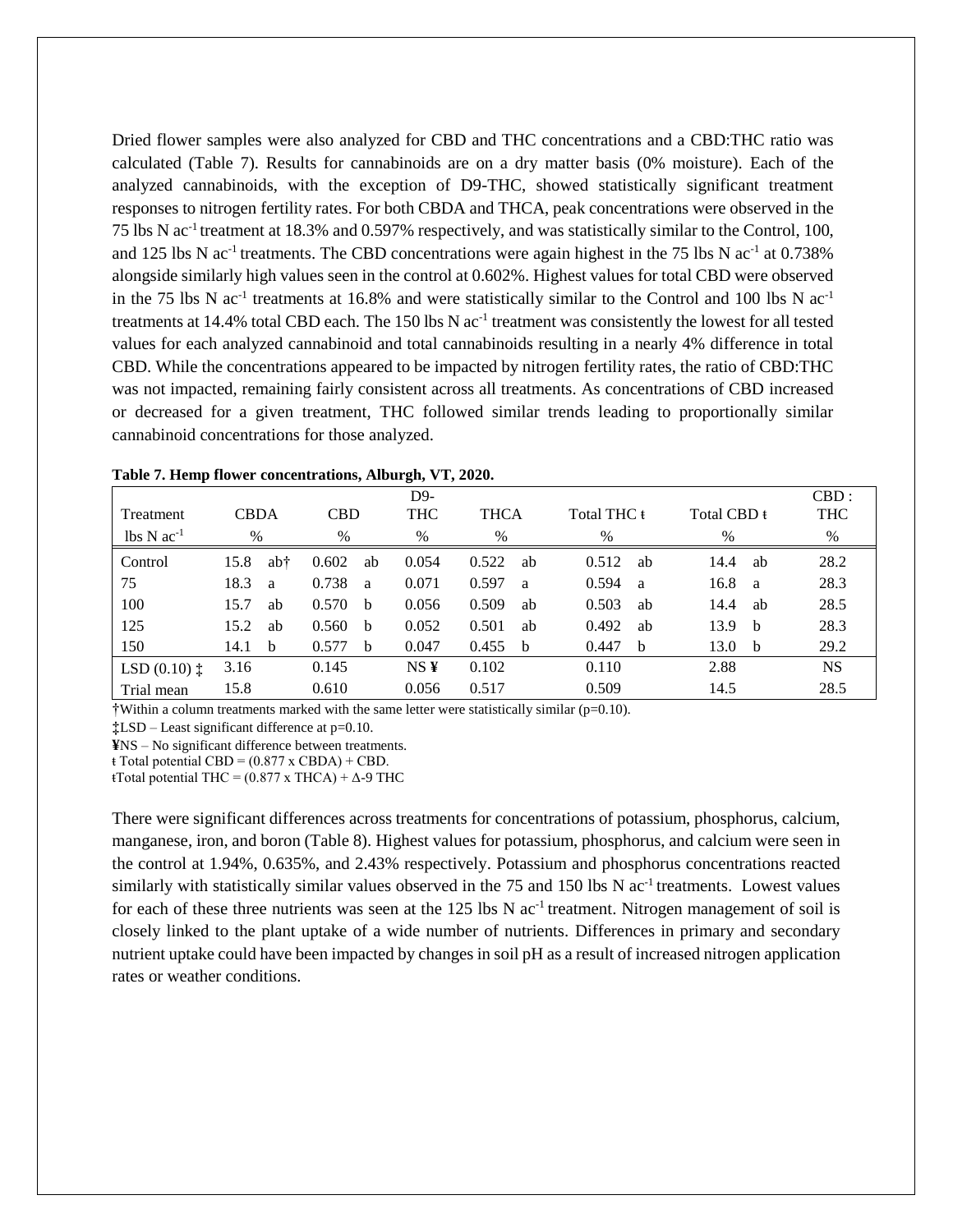Dried flower samples were also analyzed for CBD and THC concentrations and a CBD:THC ratio was calculated (Table 7). Results for cannabinoids are on a dry matter basis (0% moisture). Each of the analyzed cannabinoids, with the exception of D9-THC, showed statistically significant treatment responses to nitrogen fertility rates. For both CBDA and THCA, peak concentrations were observed in the 75 lbs N ac-1 treatment at 18.3% and 0.597% respectively, and was statistically similar to the Control, 100, and 125 lbs N ac<sup>-1</sup> treatments. The CBD concentrations were again highest in the 75 lbs N ac<sup>-1</sup> at 0.738% alongside similarly high values seen in the control at 0.602%. Highest values for total CBD were observed in the 75 lbs N  $ac^{-1}$  treatments at 16.8% and were statistically similar to the Control and 100 lbs N  $ac^{-1}$ treatments at 14.4% total CBD each. The 150 lbs  $N$  ac<sup>-1</sup> treatment was consistently the lowest for all tested values for each analyzed cannabinoid and total cannabinoids resulting in a nearly 4% difference in total CBD. While the concentrations appeared to be impacted by nitrogen fertility rates, the ratio of CBD:THC was not impacted, remaining fairly consistent across all treatments. As concentrations of CBD increased or decreased for a given treatment, THC followed similar trends leading to proportionally similar cannabinoid concentrations for those analyzed.

|                                      |             |     |               |              | D9-             |             |    |             |    |             |              | $CBD$ :    |
|--------------------------------------|-------------|-----|---------------|--------------|-----------------|-------------|----|-------------|----|-------------|--------------|------------|
| <b>Treatment</b>                     | <b>CBDA</b> |     | <b>CBD</b>    |              | <b>THC</b>      | <b>THCA</b> |    | Total THC t |    | Total CBD t |              | <b>THC</b> |
| $\text{lbs} \text{N} \text{ac}^{-1}$ | $\%$        |     | $\frac{0}{0}$ |              | $\%$            | %           |    | $\%$        |    | $\%$        |              | %          |
| Control                              | 15.8        | ab† | 0.602         | ab           | 0.054           | 0.522       | ab | 0.512       | ab | 14.4        | ab           | 28.2       |
| 75                                   | 18.3        | a   | 0.738         | <sub>a</sub> | 0.071           | 0.597       | a  | 0.594       | a  | 16.8        | <sub>a</sub> | 28.3       |
| 100                                  | 15.7        | ab  | 0.570         | <sub>b</sub> | 0.056           | 0.509       | ab | 0.503       | ab | 14.4        | ab           | 28.5       |
| 125                                  | 15.2        | ab  | 0.560         | b            | 0.052           | 0.501       | ab | 0.492       | ab | 13.9        | - b          | 28.3       |
| 150                                  | 14.1        | b   | 0.577         | <sub>b</sub> | 0.047           | 0.455       | b  | 0.447       | b  | 13.0        | <sub>b</sub> | 29.2       |
| LSD $(0.10)$ $\ddagger$              | 3.16        |     | 0.145         |              | NS <sub>Y</sub> | 0.102       |    | 0.110       |    | 2.88        |              | <b>NS</b>  |
| Trial mean                           | 15.8        |     | 0.610         |              | 0.056           | 0.517       |    | 0.509       |    | 14.5        |              | 28.5       |

| Table 7. Hemp flower concentrations, Alburgh, VT, 2020. |  |  |  |  |  |  |  |
|---------------------------------------------------------|--|--|--|--|--|--|--|
|---------------------------------------------------------|--|--|--|--|--|--|--|

†Within a column treatments marked with the same letter were statistically similar (p=0.10).

**‡**LSD – Least significant difference at p=0.10.

**¥**NS – No significant difference between treatments.

 $\overline{\text{t} \cdot \text{Total potential CBD}} = (0.877 \times \text{CBDA}) + \text{CBD}.$ 

 $tTotal potential THE = (0.877 x THEA) +  $\Delta$ -9 THE$ 

There were significant differences across treatments for concentrations of potassium, phosphorus, calcium, manganese, iron, and boron (Table 8). Highest values for potassium, phosphorus, and calcium were seen in the control at 1.94%, 0.635%, and 2.43% respectively. Potassium and phosphorus concentrations reacted similarly with statistically similar values observed in the 75 and 150 lbs N ac<sup>-1</sup> treatments. Lowest values for each of these three nutrients was seen at the  $125$  lbs N ac<sup>-1</sup> treatment. Nitrogen management of soil is closely linked to the plant uptake of a wide number of nutrients. Differences in primary and secondary nutrient uptake could have been impacted by changes in soil pH as a result of increased nitrogen application rates or weather conditions.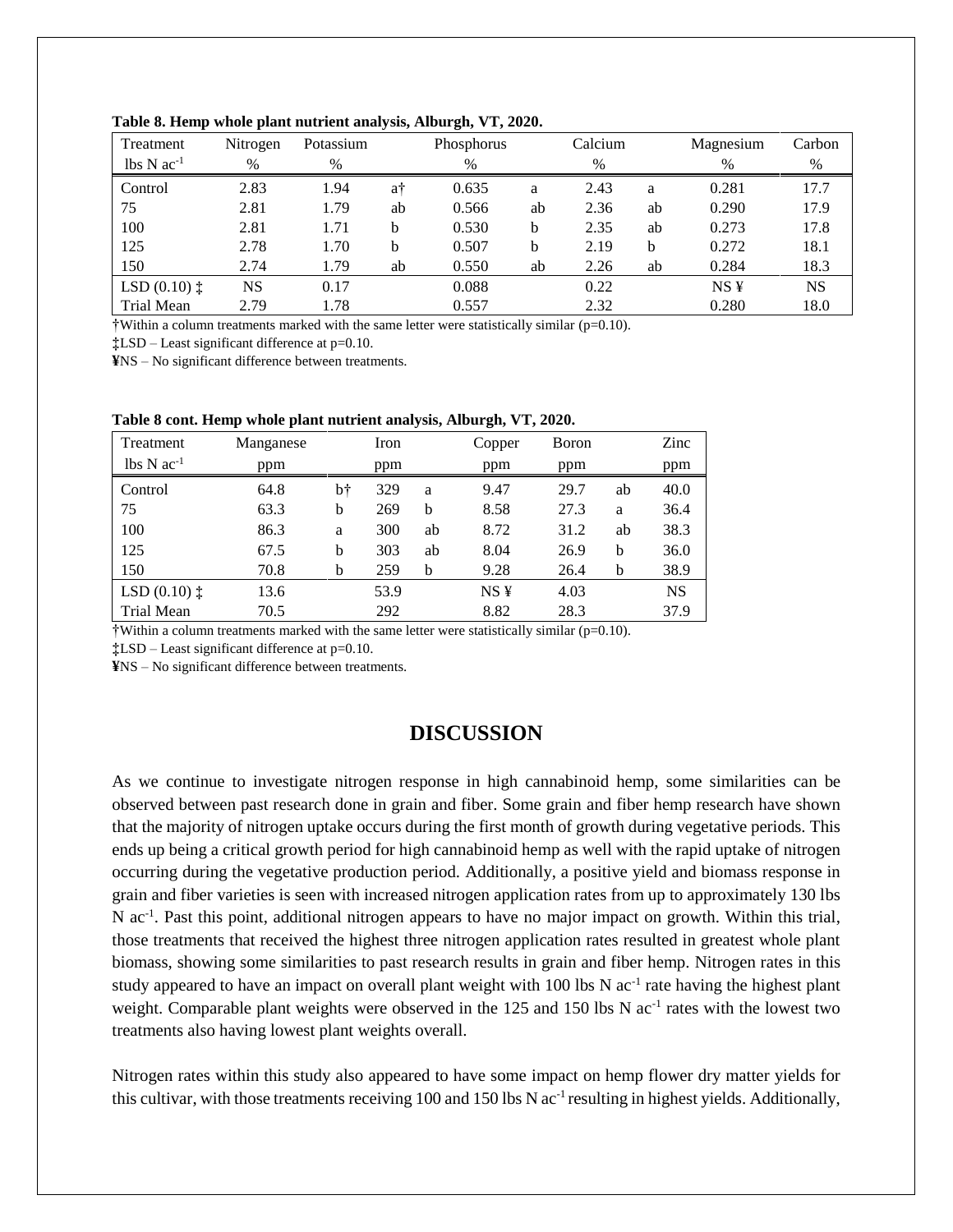| Treatment                                  | Nitrogen  | Potassium |    | Phosphorus |    | Calcium |    | Magnesium       | Carbon    |
|--------------------------------------------|-----------|-----------|----|------------|----|---------|----|-----------------|-----------|
| $\text{lbs} \, \text{N} \, \text{ac}^{-1}$ | $\%$      | $\%$      |    | %          |    | $\%$    |    | $\%$            | $\%$      |
| Control                                    | 2.83      | 1.94      | a† | 0.635      | a  | 2.43    | a  | 0.281           | 17.7      |
| 75                                         | 2.81      | 1.79      | ab | 0.566      | ab | 2.36    | ab | 0.290           | 17.9      |
| 100                                        | 2.81      | 1.71      | b  | 0.530      | b  | 2.35    | ab | 0.273           | 17.8      |
| 125                                        | 2.78      | 1.70      | b  | 0.507      | b  | 2.19    | b  | 0.272           | 18.1      |
| 150                                        | 2.74      | 1.79      | ab | 0.550      | ab | 2.26    | ab | 0.284           | 18.3      |
| LSD $(0.10)$ $\ddagger$                    | <b>NS</b> | 0.17      |    | 0.088      |    | 0.22    |    | NS <sub>Y</sub> | <b>NS</b> |
| Trial Mean                                 | 2.79      | 1.78      |    | 0.557      |    | 2.32    |    | 0.280           | 18.0      |

**Table 8. Hemp whole plant nutrient analysis, Alburgh, VT, 2020.**

†Within a column treatments marked with the same letter were statistically similar (p=0.10).

**‡**LSD – Least significant difference at p=0.10.

**¥**NS – No significant difference between treatments.

| Treatment                            | Manganese |    | Iron |    | Copper          | Boron |    | Zinc      |
|--------------------------------------|-----------|----|------|----|-----------------|-------|----|-----------|
| $\text{lbs} \text{N} \text{ac}^{-1}$ | ppm       |    | ppm  |    | ppm             | ppm   |    | ppm       |
| Control                              | 64.8      | bt | 329  | a  | 9.47            | 29.7  | ab | 40.0      |
| 75                                   | 63.3      | b  | 269  | b  | 8.58            | 27.3  | a  | 36.4      |
| 100                                  | 86.3      | a  | 300  | ab | 8.72            | 31.2  | ab | 38.3      |
| 125                                  | 67.5      | b  | 303  | ab | 8.04            | 26.9  | b  | 36.0      |
| 150                                  | 70.8      | b  | 259  | b  | 9.28            | 26.4  | b  | 38.9      |
| LSD $(0.10)$ $\ddagger$              | 13.6      |    | 53.9 |    | NS <sub>Y</sub> | 4.03  |    | <b>NS</b> |
| Trial Mean                           | 70.5      |    | 292  |    | 8.82            | 28.3  |    | 37.9      |

**Table 8 cont. Hemp whole plant nutrient analysis, Alburgh, VT, 2020.**

†Within a column treatments marked with the same letter were statistically similar (p=0.10).

**‡**LSD – Least significant difference at p=0.10.

**¥**NS – No significant difference between treatments.

## **DISCUSSION**

As we continue to investigate nitrogen response in high cannabinoid hemp, some similarities can be observed between past research done in grain and fiber. Some grain and fiber hemp research have shown that the majority of nitrogen uptake occurs during the first month of growth during vegetative periods. This ends up being a critical growth period for high cannabinoid hemp as well with the rapid uptake of nitrogen occurring during the vegetative production period. Additionally, a positive yield and biomass response in grain and fiber varieties is seen with increased nitrogen application rates from up to approximately 130 lbs N ac<sup>-1</sup>. Past this point, additional nitrogen appears to have no major impact on growth. Within this trial, those treatments that received the highest three nitrogen application rates resulted in greatest whole plant biomass, showing some similarities to past research results in grain and fiber hemp. Nitrogen rates in this study appeared to have an impact on overall plant weight with  $100$  lbs N ac<sup>-1</sup> rate having the highest plant weight. Comparable plant weights were observed in the 125 and 150 lbs N ac<sup>-1</sup> rates with the lowest two treatments also having lowest plant weights overall.

Nitrogen rates within this study also appeared to have some impact on hemp flower dry matter yields for this cultivar, with those treatments receiving 100 and 150 lbs N ac<sup>-1</sup> resulting in highest yields. Additionally,